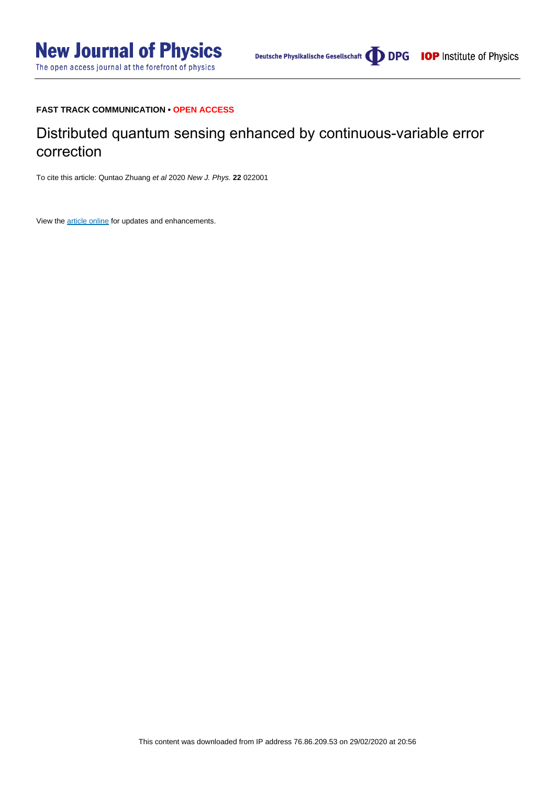# **FAST TRACK COMMUNICATION • OPEN ACCESS**

# Distributed quantum sensing enhanced by continuous-variable error correction

To cite this article: Quntao Zhuang et al 2020 New J. Phys. **22** 022001

View the [article online](https://doi.org/10.1088/1367-2630/ab7257) for updates and enhancements.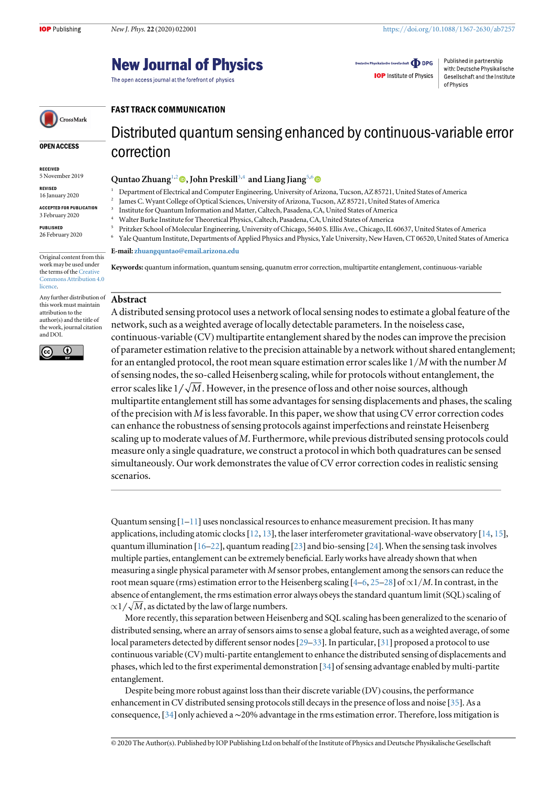# **New Journal of Physics**

The open access journal at the forefront of physics

FAST TRACK COMMUNICATION

Deutsche Physikalische Gesellschaft **ODPG IOP** Institute of Physics

Published in partnership with: Deutsche Physikalische Gesellschaft and the Institute of Physics

# CrossMark

#### OPEN ACCESS

- RECEIVED 5 November 2019
- REVISED 16 January 2020
- ACCEPTED FOR PUBLICATION
- 3 February 2020

PUBLISHED 26 February 2020

Original content from this work may be used under the terms of the [Creative](http://creativecommons.org/licenses/by/4.0) [Commons Attribution 4.0](http://creativecommons.org/licenses/by/4.0) **licence** 

Any further distribution of this work must maintain attribution to the author(s) and the title of the work, journal citation and DOI.



Distributed quantum sensing enhanced by continuous-variable error correction

# Quntao Zhuang<sup>1[,](https://orcid.org/0000-0002-9554-3846)2</sup> , John Preskill<sup>3,4</sup> and Liang Jiang<sup>5,6</sup>

- <sup>1</sup> Department of Electrical and Computer Engineering, University of Arizona, Tucson, AZ 85721, United States of America
	- <sup>2</sup> James C. Wyant College of Optical Sciences, University of Arizona, Tucson, AZ 85721, United States of America
- <sup>3</sup> Institute for Quantum Information and Matter, Caltech, Pasadena, CA, United States of America
	- <sup>4</sup> Walter Burke Institute for Theoretical Physics, Caltech, Pasadena, CA, United States of America
- <sup>5</sup> Pritzker School of Molecular Engineering, University of Chicago, 5640 S. Ellis Ave., Chicago, IL 60637, United States of America
- <sup>6</sup> Yale Quantum Institute, Departments of Applied Physics and Physics, Yale University, New Haven, CT 06520, United States of America

#### E-mail: [zhuangquntao@email.arizona.edu](mailto:zhuangquntao@email.arizona.edu)

Keywords: quantum information, quantum sensing, quanutm error correction, multipartite entanglement, continuous-variable

## Abstract

A distributed sensing protocol uses a network of local sensing nodes to estimate a global feature of the network, such as a weighted average of locally detectable parameters. In the noiseless case, continuous-variable (CV) multipartite entanglement shared by the nodes can improve the precision of parameter estimation relative to the precision attainable by a network without shared entanglement; for an entangled protocol, the root mean square estimation error scales like  $1/M$  with the number M of sensing nodes, the so-called Heisenberg scaling, while for protocols without entanglement, the error scales like  $1/\sqrt{M}$ . However, in the presence of loss and other noise sources, although multipartite entanglement still has some advantages for sensing displacements and phases, the scaling of the precision with  $M$  is less favorable. In this paper, we show that using CV error correction codes can enhance the robustness of sensing protocols against imperfections and reinstate Heisenberg scaling up to moderate values of M. Furthermore, while previous distributed sensing protocols could measure only a single quadrature, we construct a protocol in which both quadratures can be sensed simultaneously. Our work demonstrates the value of CV error correction codes in realistic sensing scenarios.

Quantum sensing  $[1-11]$  $[1-11]$  $[1-11]$  $[1-11]$  $[1-11]$  uses nonclassical resources to enhance measurement precision. It has many applications, including atomic clocks  $[12, 13]$  $[12, 13]$  $[12, 13]$  $[12, 13]$  $[12, 13]$ , the laser interferometer gravitational-wave observatory  $[14, 15]$  $[14, 15]$  $[14, 15]$  $[14, 15]$  $[14, 15]$ , quantum illumination [[16](#page-12-0)–[22](#page-12-0)], quantum reading [[23](#page-12-0)] and bio-sensing [[24](#page-12-0)]. When the sensing task involves multiple parties, entanglement can be extremely beneficial. Early works have already shown that when measuring a single physical parameter with  $M$  sensor probes, entanglement among the sensors can reduce the root mean square (rms) estimation error to the Heisenberg scaling [[4](#page-12-0)–[6,](#page-12-0) [25](#page-12-0)–[28](#page-12-0)] of ∝1/M. In contrast, in the absence of entanglement, the rms estimation error always obeys the standard quantum limit (SQL) scaling of  $\propto$ 1/ $\sqrt{M}$ , as dictated by the law of large numbers.

More recently, this separation between Heisenberg and SQL scaling has been generalized to the scenario of distributed sensing, where an array of sensors aims to sense a global feature, such as a weighted average, of some local parameters detected by different sensor nodes [[29](#page-12-0)–[33](#page-12-0)]. In particular, [[31](#page-12-0)] proposed a protocol to use continuous variable (CV) multi-partite entanglement to enhance the distributed sensing of displacements and phases, which led to the first experimental demonstration [[34](#page-12-0)] of sensing advantage enabled by multi-partite entanglement.

Despite being more robust against loss than their discrete variable (DV) cousins, the performance enhancement in CV distributed sensing protocols still decays in the presence of loss and noise [[35](#page-12-0)]. As a consequence, [[34](#page-12-0)] only achieved a∼20% advantage in the rms estimation error. Therefore, loss mitigation is

© 2020 The Author(s). Published by IOP Publishing Ltd on behalf of the Institute of Physics and Deutsche Physikalische Gesellschaft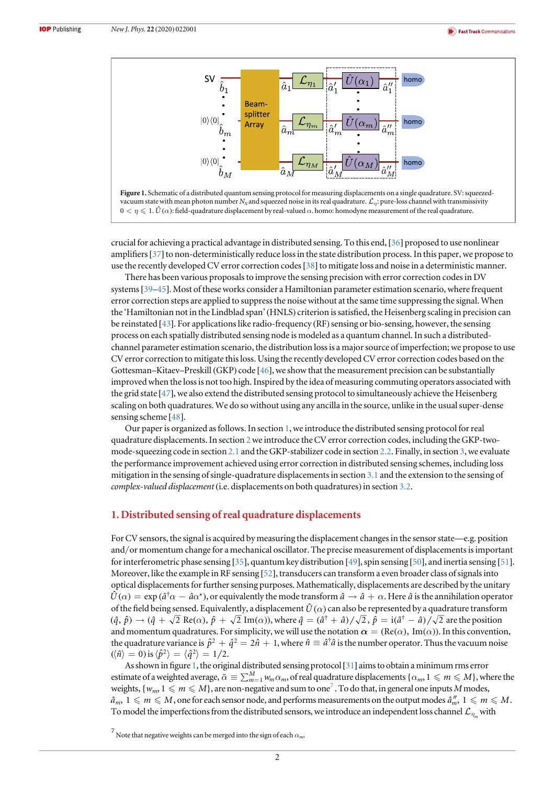<span id="page-2-0"></span>



crucial for achieving a practical advantage in distributed sensing. To this end, [[36](#page-12-0)] proposed to use nonlinear amplifiers [[37](#page-12-0)] to non-deterministically reduce loss in the state distribution process. In this paper, we propose to use the recently developed CV error correction codes[[38](#page-12-0)] to mitigate loss and noise in a deterministic manner.

There has been various proposals to improve the sensing precision with error correction codes in DV systems[[39](#page-12-0)–[45](#page-12-0)]. Most of these works consider a Hamiltonian parameter estimation scenario, where frequent error correction steps are applied to suppress the noise without at the same time suppressing the signal. When the 'Hamiltonian not in the Lindblad span'(HNLS) criterion is satisfied, the Heisenberg scaling in precision can be reinstated  $[43]$  $[43]$  $[43]$ . For applications like radio-frequency (RF) sensing or bio-sensing, however, the sensing process on each spatially distributed sensing node is modeled as a quantum channel. In such a distributedchannel parameter estimation scenario, the distribution loss is a major source of imperfection; we propose to use CV error correction to mitigate this loss. Using the recently developed CV error correction codes based on the Gottesman–Kitaev–Preskill (GKP) code [[46](#page-12-0)], we show that the measurement precision can be substantially improved when the loss is not too high. Inspired by the idea of measuring commuting operators associated with the grid state [[47](#page-12-0)], we also extend the distributed sensing protocol to simultaneously achieve the Heisenberg scaling on both quadratures. We do so without using any ancilla in the source, unlike in the usual super-dense sensing scheme [[48](#page-12-0)].

Our paper is organized as follows. In section 1, we introduce the distributed sensing protocol for real quadrature displacements. In section [2](#page-3-0)we introduce the CV error correction codes, including the GKP-twomode-squeezing code in section [2.1](#page-4-0) and the GKP-stabilizer code in section [2.2.](#page-5-0) Finally, in section [3](#page-7-0), we evaluate the performance improvement achieved using error correction in distributed sensing schemes, including loss mitigation in the sensing of single-quadrature displacements in section [3.1](#page-7-0) and the extension to the sensing of complex-valued displacement (i.e. displacements on both quadratures) in section [3.2](#page-9-0).

# 1. Distributed sensing of real quadrature displacements

For CV sensors, the signal is acquired by measuring the displacement changes in the sensor state—e.g. position and/or momentum change for a mechanical oscillator. The precise measurement of displacements is important for interferometric phase sensing [[35](#page-12-0)], quantum key distribution [[49](#page-12-0)], spin sensing [[50](#page-12-0)], and inertia sensing [[51](#page-12-0)]. Moreover, like the example in RF sensing [[52](#page-12-0)], transducers can transform a even broader class of signals into optical displacements for further sensing purposes. Mathematically, displacements are described by the unitary  $\hat{U}(\alpha) = \exp(\hat{a}^\dagger \alpha - \hat{a} \alpha^*)$ , or equivalently the mode transform  $\hat{a} \to \hat{a} + \alpha$ . Here  $\hat{a}$  is the annihilation operator of the field being sensed. Equivalently, a displacement  $\hat{U}(\alpha)$  can also be represented by a quadrature transform  $(\hat{q}, \hat{p}) \rightarrow (\hat{q} + \sqrt{2} \text{ Re}(\alpha), \hat{p} + \sqrt{2} \text{ Im}(\alpha))$ , where  $\hat{q} = (\hat{a}^{\dagger} + \hat{a})/\sqrt{2}$ ,  $\hat{p} = i(\hat{a}^{\dagger} - \hat{a})/\sqrt{2}$  are the position and momentum quadratures. For simplicity, we will use the notation  $\alpha = (Re(\alpha), Im(\alpha))$ . In this convention, the quadrature variance is  $\hat{p}^2 + \hat{q}^2 = 2\hat{n} + 1$ , where  $\hat{n} \equiv \hat{a}^\dagger \hat{a}$  is the number operator. Thus the vacuum noise  $(\langle \hat{n} \rangle = 0)$  is  $\langle \hat{p}^2 \rangle = \langle \hat{q}^2 \rangle = 1/2$ .

As shown in figure 1, the original distributed sensing protocol[[31](#page-12-0)] aims to obtain a minimum rms error estimate of a weighted average,  $\bar{\alpha} \equiv \sum_{m=1}^{M} w_m \alpha_m$ , of real quadrature displacements  $\{\alpha_m, 1 \leq m \leq M\}$ , where the weights,  $\{w_m, 1 \leq m \leq M\}$ , are non-negative and sum to one<sup>7</sup>. To do that, in general one inputs M modes,  $\hat{a}_m$ ,  $1 \leqslant m \leqslant M$  , one for each sensor node, and performs measurements on the output modes  $\hat{a}''_m$ ,  $1 \leqslant m \leqslant M$  . To model the imperfections from the distributed sensors, we introduce an independent loss channel  $\mathcal{L}_{n}$  with

<sup>&</sup>lt;sup>7</sup> Note that negative weights can be merged into the sign of each  $\alpha_m$ .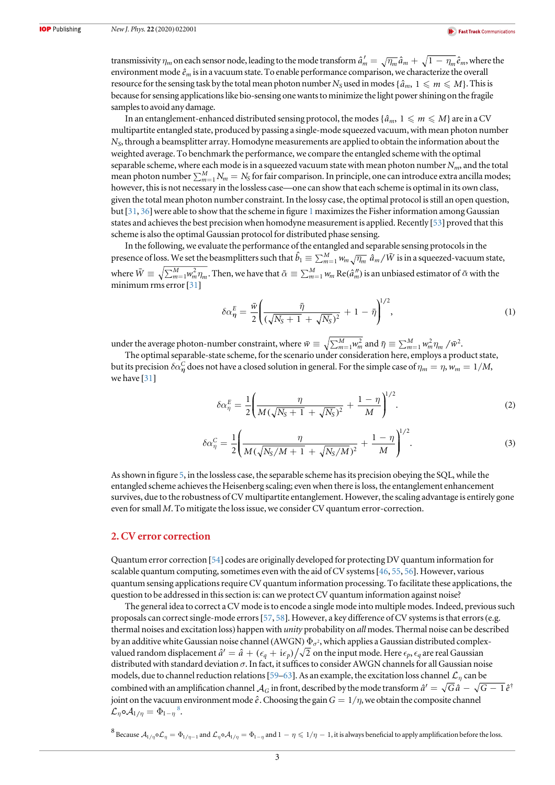<span id="page-3-0"></span>transmissivity  $\eta_m$  on each sensor node, leading to the mode transform  $\hat a'_m=\sqrt{\eta_m}\hat a_m+\sqrt{1-\eta_m}\hat e_m,$  where the environment mode  $\hat{e}_m$  is in a vacuum state. To enable performance comparison, we characterize the overall resource for the sensing task by the total mean photon number  $N_S$  used in modes { $\hat{a}_m$ ,  $1 \leq m \leq M$ }. This is because for sensing applications like bio-sensing one wants to minimize the light power shining on the fragile samples to avoid any damage.

In an entanglement-enhanced distributed sensing protocol, the modes  $\{\hat{a}_m, 1 \leq m \leq M\}$  are in a CV multipartite entangled state, produced by passing a single-mode squeezed vacuum, with mean photon number  $N<sub>S</sub>$ , through a beamsplitter array. Homodyne measurements are applied to obtain the information about the weighted average. To benchmark the performance, we compare the entangled scheme with the optimal separable scheme, where each mode is in a squeezed vacuum state with mean photon number  $N_{m}$ , and the total mean photon number  $\sum_{m=1}^{M} N_m = N_S$  for fair comparison. In principle, one can introduce extra ancilla modes; however, this is not necessary in the lossless case—one can show that each scheme is optimal in its own class, given the total mean photon number constraint. In the lossy case, the optimal protocol is still an open question, but [[31,](#page-12-0) [36](#page-12-0)] were able to show that the scheme in figure [1](#page-2-0) maximizes the Fisher information among Gaussian states and achieves the best precision when homodyne measurement is applied. Recently [[53](#page-12-0)] proved that this scheme is also the optimal Gaussian protocol for distributed phase sensing.

In the following, we evaluate the performance of the entangled and separable sensing protocols in the presence of loss. We set the beasmplitters such that  $\hat{b}_1 \equiv \sum_{m=1}^M w_m \sqrt{\eta_m} \hat{a}_m / \bar{W}$  is in a squeezed-vacuum state, where  $\bar{W} \equiv \sqrt{\sum_{m=1}^{M} w_m^2 \eta_m}$ . Then, we have that  $\tilde{\alpha} \equiv \sum_{m=1}^{M} w_m \text{Re}(\hat{a}_m'')$  is an unbiased estimator of  $\bar{\alpha}$  with the minimum rms error [[31](#page-12-0)]

$$
\delta \alpha_{\eta}^{E} = \frac{\bar{w}}{2} \left( \frac{\bar{\eta}}{(\sqrt{N_S + 1} + \sqrt{N_S})^2} + 1 - \bar{\eta} \right)^{1/2}, \tag{1}
$$

under the average photon-number constraint, where  $\bar{w}\equiv\sqrt{\sum_{m=1}^{M}w_{m}^{2}}$  and  $\bar{\eta}\equiv\sum_{m=1}^{M}w_{m}^{2}\eta_{m}$  / $\bar{w}^{2}$ .

The optimal separable-state scheme, for the scenario under consideration here, employs a product state, but its precision  $\delta\alpha^C_n$  does not have a closed solution in general. For the simple case of  $\eta_m=\eta, w_m=1/M,$ we have [[31](#page-12-0)]

$$
\delta \alpha_{\eta}^{E} = \frac{1}{2} \left( \frac{\eta}{M(\sqrt{N_S + 1} + \sqrt{N_S})^2} + \frac{1 - \eta}{M} \right)^{1/2}.
$$
 (2)

$$
\delta \alpha_{\eta}^{C} = \frac{1}{2} \left( \frac{\eta}{M(\sqrt{N_S/M + 1} + \sqrt{N_S/M})^2} + \frac{1 - \eta}{M} \right)^{1/2}.
$$
 (3)

As shown in figure [5](#page-8-0), in the lossless case, the separable scheme has its precision obeying the SQL, while the entangled scheme achieves the Heisenberg scaling; even when there is loss, the entanglement enhancement survives, due to the robustness of CV multipartite entanglement. However, the scaling advantage is entirely gone even for small M. To mitigate the loss issue, we consider CV quantum error-correction.

## 2. CV error correction

Quantum error correction [[54](#page-12-0)] codes are originally developed for protecting DV quantum information for scalable quantum computing, sometimes even with the aid of CV systems [ $46, 55, 56$  $46, 55, 56$  $46, 55, 56$  $46, 55, 56$  $46, 55, 56$ ]. However, various quantum sensing applications require CV quantum information processing. To facilitate these applications, the question to be addressed in this section is: can we protect CV quantum information against noise?

The general idea to correct a CV mode is to encode a single mode into multiple modes. Indeed, previous such proposals can correct single-mode errors[[57](#page-12-0), [58](#page-12-0)]. However, a key difference of CV systems is that errors(e.g. thermal noises and excitation loss) happen with *unity* probability on *all* modes. Thermal noise can be described by an additive white Gaussian noise channel (AWGN)  $\Phi_{\sigma^2}$ , which applies a Gaussian distributed complexvalued random displacement  $\hat{a}' = \hat{a} + (\epsilon_q + i \epsilon_p) / \sqrt{2}$  on the input mode. Here  $\epsilon_p$ ,  $\epsilon_q$  are real Gaussian distributed with standard deviation  $\sigma$ . In fact, it suffices to consider AWGN channels for all Gaussian noise models, due to channel reduction relations [[59](#page-12-0)–[63](#page-12-0)]. As an example, the excitation loss channel  $\mathcal{L}_\eta$  can be combined with an amplification channel  $A_G$  in front, described by the mode transform  $\hat{a}' = \sqrt{G}\hat{a} - \sqrt{G-1}\hat{e}^{\dagger}$ joint on the vacuum environment mode  $\hat{e}$ . Choosing the gain  $G = 1/\eta$ , we obtain the composite channel  $\mathcal{L}_{\eta} \circ \mathcal{A}_{1/\eta} = \Phi_{1-\eta}^{\quad 8}.$ 

<sup>8</sup> Because  $A_{1/\eta}$   $\circ$   $\mathcal{L}_{\eta} = \Phi_{1/\eta-1}$  and  $\mathcal{L}_{\eta}$   $\circ$   $\mathcal{A}_{1/\eta} = \Phi_{1-\eta}$  and  $1-\eta \leq 1/\eta-1$ , it is always beneficial to apply amplification before the loss.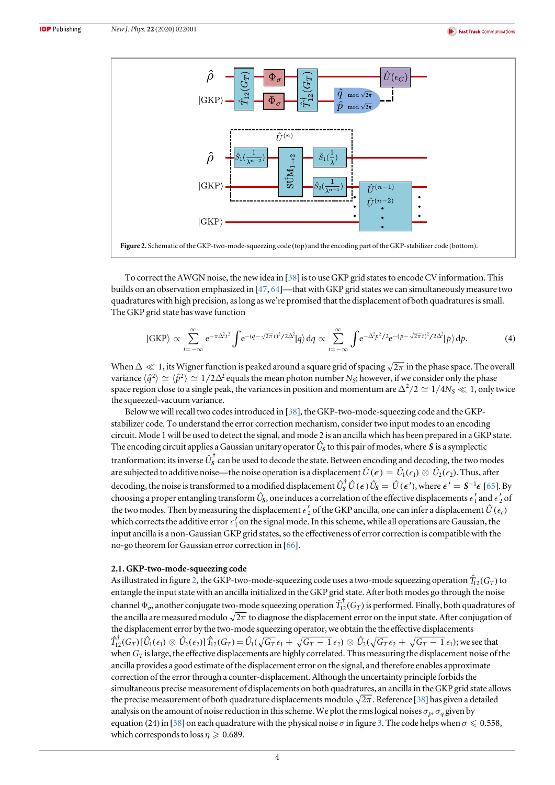<span id="page-4-0"></span>

To correct the AWGN noise, the new idea in [[38](#page-12-0)] is to use GKP grid states to encode CV information. This builds on an observation emphasized in [[47,](#page-12-0) [64](#page-12-0)]—that with GKP grid states we can simultaneously measure two quadratures with high precision, as long as we're promised that the displacement of both quadratures is small. The GKP grid state has wave function

$$
|GKP\rangle \propto \sum_{t=-\infty}^{\infty} e^{-\pi \Delta^2 t^2} \int e^{-(q-\sqrt{2\pi}t)^2/2\Delta^2} |q\rangle dq \propto \sum_{t=-\infty}^{\infty} \int e^{-\Delta^2 p^2/2} e^{-(p-\sqrt{2\pi}t)^2/2\Delta^2} |p\rangle dp.
$$
 (4)

When  $\Delta \ll 1$ , its Wigner function is peaked around a square grid of spacing  $\sqrt{2\pi}$  in the phase space. The overall variance  $\langle \hat{q}^2 \rangle \simeq \langle \hat{p}^2 \rangle \simeq 1/2\Delta^2$  equals the mean photon number N<sub>S</sub>; however, if we consider only the phase space region close to a single peak, the variances in position and momentum are  $\Delta^2/2 \simeq 1/4N_S \ll 1$ , only twice the squeezed-vacuum variance.

Below we will recall two codes introduced in [[38](#page-12-0)], the GKP-two-mode-squeezing code and the GKPstabilizer code. To understand the error correction mechanism, consider two input modes to an encoding circuit. Mode 1 will be used to detect the signal, and mode 2 is an ancilla which has been prepared in a GKP state. The encoding circuit applies a Gaussian unitary operator  $\hat{U}_{\!S}$  to this pair of modes, where  $\bm{S}$  is a symplectic tranformation; its inverse  $\hat U_S^\dagger$  can be used to decode the state. Between encoding and decoding, the two modes are subjected to additive noise—the noise operation is a displacement  $\hat{U}(\epsilon) = \hat{U}_1(\epsilon_1) \otimes \hat{U}_2(\epsilon_2)$ . Thus, after decoding, the noise is transformed to a modified displacement  $\hat{U}_{\mathcal{S}}^{\dagger} \hat{U}(\epsilon) \hat{U}_{\mathcal{S}} = \hat{U}(\epsilon')$ , where  $\epsilon' = \mathcal{S}^{-1} \epsilon$  [[65](#page-12-0)]. By choosing a proper entangling transform  $\hat{U}_S$ , one induces a correlation of the effective displacements  $\epsilon'_1$  and  $\epsilon'_2$  of the two modes. Then by measuring the displacement  $\epsilon'_2$  of the GKP ancilla, one can infer a displacement  $\hat U(\epsilon_c)$ which corrects the additive error  $\epsilon_1'$  on the signal mode. In this scheme, while all operations are Gaussian, the input ancilla is a non-Gaussian GKP grid states, so the effectiveness of error correction is compatible with the no-go theorem for Gaussian error correction in [[66](#page-12-0)].

### 2.1. GKP-two-mode-squeezing code

As illustrated in figure 2, the GKP-two-mode-squeezing code uses a two-mode squeezing operation  $\hat{T}_{12}(G_T)$  to entangle the input state with an ancilla initialized in the GKP grid state. After both modes go through the noise channel  $\Phi_{\sigma}$ , another conjugate two-mode squeezing operation  $\hat{T}_{12}^T(G_T)$  is performed. Finally, both quadratures of the ancilla are measured modulo  $\sqrt{2\pi}$  to diagnose the displacement error on the input state. After conjugation of the displacement error by the two-mode squeezing operator, we obtain the the effective displacements  $\hat{T}_{12}^{\dagger}(G_T)[\hat{U}_1(\epsilon_1)\otimes \hat{U}_2(\epsilon_2)]\hat{T}_{12}(G_T) = \hat{U}_1(\sqrt{G_T}\,\epsilon_1 + \sqrt{G_T-1}\,\epsilon_2)\otimes \hat{U}_2(\sqrt{G_T}\,\epsilon_2 + \sqrt{G_T-1}\,\epsilon_1);$  we see that when  $G_T$  is large, the effective displacements are highly correlated. Thus measuring the displacement noise of the ancilla provides a good estimate of the displacement error on the signal, and therefore enables approximate correction of the error through a counter-displacement. Although the uncertainty principle forbids the simultaneous precise measurement of displacements on both quadratures, an ancilla in the GKP grid state allows the precise measurement of both quadrature displacements modulo  $\sqrt{2\pi}$ . Reference [[38](#page-12-0)] has given a detailed analysis on the amount of noise reduction in this scheme. We plot the rms logical noises  $\sigma_p$ ,  $\sigma_q$  given by equation (24) in [[38](#page-12-0)] on each quadrature with the physical noise  $\sigma$  in figure [3.](#page-5-0) The code helps when  $\sigma \leq 0.558$ , which corresponds to loss  $\eta \geqslant 0.689$ .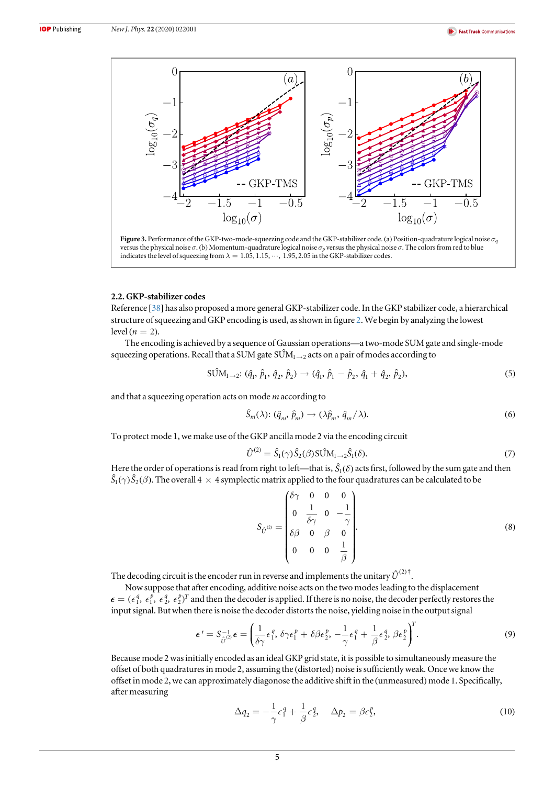<span id="page-5-0"></span>

Figure 3. Performance of the GKP-two-mode-squeezing code and the GKP-stabilizer code. (a) Position-quadrature logical noise  $\sigma_q$ versus the physical noise  $\sigma$ . (b) Momentum-quadrature logical noise  $\sigma_p$  versus the physical noise  $\sigma$ . The colors from red to blue indicates the level of squeezing from  $\lambda = 1.05, 1.15, \cdots, 1.95, 2.05$  in the GKP-stabilizer codes.

### 2.2. GKP-stabilizer codes

Reference [[38](#page-12-0)] has also proposed a more general GKP-stabilizer code. In the GKP stabilizer code, a hierarchical structure of squeezing and GKP encoding is used, as shown in figure [2](#page-4-0). We begin by analyzing the lowest level ( $n = 2$ ).

The encoding is achieved by a sequence of Gaussian operations—a two-mode SUM gate and single-mode squeezing operations. Recall that a SUM gate  $SUM_{1\rightarrow 2}$  acts on a pair of modes according to

$$
S\hat{U}M_{1\to 2}: (\hat{q}_1, \hat{p}_1, \hat{q}_2, \hat{p}_2) \to (\hat{q}_1, \hat{p}_1 - \hat{p}_2, \hat{q}_1 + \hat{q}_2, \hat{p}_2),
$$
\n(5)

and that a squeezing operation acts on mode m according to

$$
\hat{S}_m(\lambda) : (\hat{q}_m, \hat{p}_m) \to (\lambda \hat{p}_m, \hat{q}_m/\lambda). \tag{6}
$$

To protect mode 1, we make use of the GKP ancilla mode 2 via the encoding circuit

$$
\hat{U}^{(2)} = \hat{S}_1(\gamma)\hat{S}_2(\beta)\text{SUM}_{1\rightarrow 2}\hat{S}_1(\delta). \tag{7}
$$

Here the order of operations is read from right to left—that is,  $\hat{S}_1(\delta)$  acts first, followed by the sum gate and then  $\hat{S}_1(\gamma)\hat{S}_2(\beta)$ . The overall  $4\times 4$  symplectic matrix applied to the four quadratures can be calculated to be

$$
S_{\hat{U}^{(2)}} = \begin{pmatrix} \delta \gamma & 0 & 0 & 0 \\ 0 & \frac{1}{\delta \gamma} & 0 & -\frac{1}{\gamma} \\ \delta \beta & 0 & \beta & 0 \\ 0 & 0 & 0 & \frac{1}{\beta} \end{pmatrix} .
$$
 (8)

The decoding circuit is the encoder run in reverse and implements the unitary  $\hat{U}^{(2)\dagger}$ .

Now suppose that after encoding, additive noise acts on the two modes leading to the displacement  $\epsilon = (\epsilon_1^q, \epsilon_1^p, \epsilon_2^q, \epsilon_2^p)^T$  and then the decoder is applied. If there is no noise, the decoder perfectly restores the input signal. But when there is noise the decoder distorts the noise, yielding noise in the output signal

$$
\boldsymbol{\epsilon}' = S_{\hat{U}}^{-1} \boldsymbol{\epsilon} = \left(\frac{1}{\delta \gamma} \epsilon_1^q, \delta \gamma \epsilon_1^p + \delta \beta \epsilon_2^p, -\frac{1}{\gamma} \epsilon_1^q + \frac{1}{\beta} \epsilon_2^q, \beta \epsilon_2^p\right)^T. \tag{9}
$$

Because mode 2 was initially encoded as an ideal GKP grid state, it is possible to simultaneously measure the offset of both quadratures in mode 2, assuming the (distorted) noise is sufficiently weak. Once we know the offset in mode 2, we can approximately diagonose the additive shift in the (unmeasured) mode 1. Specifically, after measuring

$$
\Delta q_2 = -\frac{1}{\gamma} \epsilon_1^q + \frac{1}{\beta} \epsilon_2^q, \quad \Delta p_2 = \beta \epsilon_2^p,
$$
\n(10)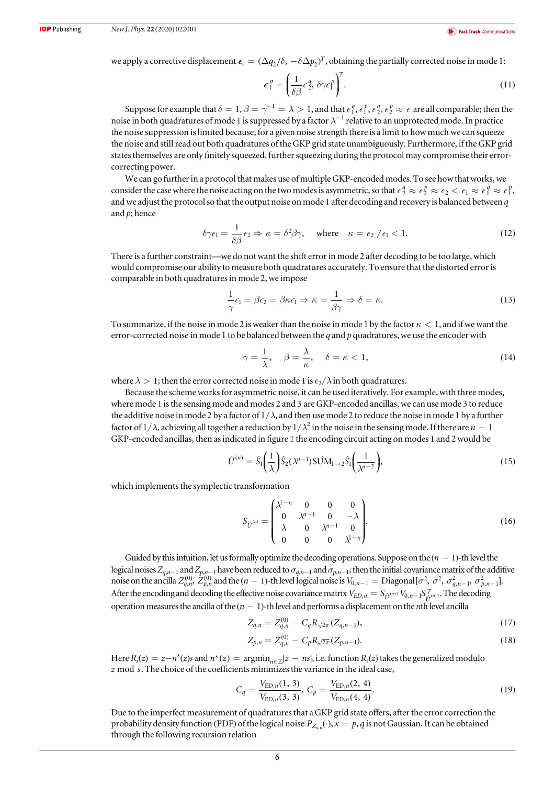<span id="page-6-0"></span>we apply a corrective displacement  $\epsilon_c = (\Delta q_2 / \delta, -\delta \Delta p_2)^T$ , obtaining the partially corrected noise in mode 1:

$$
\boldsymbol{\epsilon}_1'' = \left(\frac{1}{\delta \beta} \epsilon_2^q, \delta \gamma \epsilon_1^p\right)^T. \tag{11}
$$

Suppose for example that  $\delta = 1, \beta = \gamma^{-1} = \lambda > 1$ , and that  $\epsilon_1^q, \epsilon_1^p, \epsilon_2^q, \epsilon_2^p \approx \epsilon$  are all comparable; then the noise in both quadratures of mode 1 is suppressed by a factor  $\lambda^{-1}$  relative to an unprotected mode. In practice the noise suppression is limited because, for a given noise strength there is a limit to how much we can squeeze the noise and still read out both quadratures of the GKP grid state unambiguously. Furthermore, if the GKP grid states themselves are only finitely squeezed, further squeezing during the protocol may compromise their errorcorrecting power.

We can go further in a protocol that makes use of multiple GKP-encoded modes. To see how that works, we consider the case where the noise acting on the two modes is asymmetric, so that  $\epsilon_2^q \approx \epsilon_2^p \approx \epsilon_2 < \epsilon_1 \approx \epsilon_1^q \approx \epsilon_1^q$ , and we adjust the protocol so that the output noise on mode 1 after decoding and recovery is balanced between  $q$ and  $p$ ; hence

$$
\delta \gamma \epsilon_1 = \frac{1}{\delta \beta} \epsilon_2 \Rightarrow \kappa = \delta^2 \beta \gamma, \quad \text{where} \quad \kappa = \epsilon_2 / \epsilon_1 < 1. \tag{12}
$$

There is a further constraint—we do not want the shift error in mode 2 after decoding to be too large, which would compromise our ability to measure both quadratures accurately. To ensure that the distorted error is comparable in both quadratures in mode 2, we impose

$$
\frac{1}{\gamma}\epsilon_1 = \beta \epsilon_2 = \beta \kappa \epsilon_1 \Rightarrow \kappa = \frac{1}{\beta \gamma} \Rightarrow \delta = \kappa. \tag{13}
$$

To summarize, if the noise in mode 2 is weaker than the noise in mode 1 by the factor  $\kappa < 1$ , and if we want the error-corrected noise in mode 1 to be balanced between the  $q$  and  $p$  quadratures, we use the encoder with

$$
\gamma = \frac{1}{\lambda}, \quad \beta = \frac{\lambda}{\kappa}, \quad \delta = \kappa < 1,\tag{14}
$$

where  $\lambda > 1$ ; then the error corrected noise in mode 1 is  $\epsilon_2/\lambda$  in both quadratures.

Because the scheme works for asymmetric noise, it can be used iteratively. For example, with three modes, where mode 1 is the sensing mode and modes 2 and 3 are GKP-encoded ancillas, we can use mode 3 to reduce the additive noise in mode 2 by a factor of  $1/\lambda$ , and then use mode 2 to reduce the noise in mode 1 by a further factor of  $1/\lambda$ , achieving all together a reduction by  $1/\lambda^2$  in the noise in the sensing mode. If there are  $n-1$ GKP-encoded ancillas, then as indicated in figure [2](#page-4-0) the encoding circuit acting on modes 1 and 2 would be

$$
\hat{U}^{(n)} = \hat{S}_1 \left(\frac{1}{\lambda}\right) \hat{S}_2 (\lambda^{n-1}) \text{S} \hat{U} M_{1 \to 2} \hat{S}_1 \left(\frac{1}{\lambda^{n-2}}\right),\tag{15}
$$

which implements the symplectic transformation

$$
S_{\hat{U}^{(n)}} = \begin{pmatrix} \lambda^{1-n} & 0 & 0 & 0 \\ 0 & \lambda^{n-1} & 0 & -\lambda \\ \lambda & 0 & \lambda^{n-1} & 0 \\ 0 & 0 & 0 & \lambda^{1-n} \end{pmatrix}.
$$
 (16)

Guided by this intuition, let us formally optimize the decoding operations. Suppose on the  $(n - 1)$ -th level the logical noises  $Z_{q,n-1}$  and  $Z_{p,n-1}$  have been reduced to  $\sigma_{q,n-1}$  and  $\sigma_{p,n-1}$ ; then the initial covariance matrix of the additive noise on the ancilla  $Z_{q,n}^{(0)}$ ,  $Z_{p,n}^{(0)}$  and the  $(n-1)$ -th level logical noise is  $V_{0,n-1} = \text{Diagonal}[\sigma^2, \sigma^2, \sigma_{q,n-1}^2, \sigma_{p,n-1}^2]$ . After the encoding and decoding the effective noise covariance matrix  $V_{ED,n} = S_{\hat{U}}^{(n) \dagger} V_{0,n-1} S_{\hat{U}}^{T_{(n) \dagger}}$ . The decoding operation measures the ancilla of the  $(n - 1)$ -th level and performs a displacement on the *n*th level ancilla

$$
Z_{q,n} = Z_{q,n}^{(0)} - C_q R_{\sqrt{2\pi}}(Z_{q,n-1}),
$$
\n(17)

$$
Z_{p,n} = Z_{q,n}^{(0)} - C_p R_{\sqrt{2\pi}} (Z_{p,n-1}).
$$
\n(18)

Here  $R_s(z) = z - n^*(z) s$  and  $n^*(z) = \text{argmin}_{n \in \mathbb{Z}} |z - ns|$ , i.e. function  $R_s(z)$  takes the generalized modulo z mod s. The choice of the coefficients minimizes the variance in the ideal case,

$$
C_q = \frac{V_{\text{ED},n}(1, 3)}{V_{\text{ED},n}(3, 3)}, C_p = \frac{V_{\text{ED},n}(2, 4)}{V_{\text{ED},n}(4, 4)}.
$$
\n(19)

Due to the imperfect measurement of quadratures that a GKP grid state offers, after the error correction the probability density function (PDF) of the logical noise  $P_{Z_{x,n}}(\cdot)$ ,  $x = p$ , q is not Gaussian. It can be obtained through the following recursion relation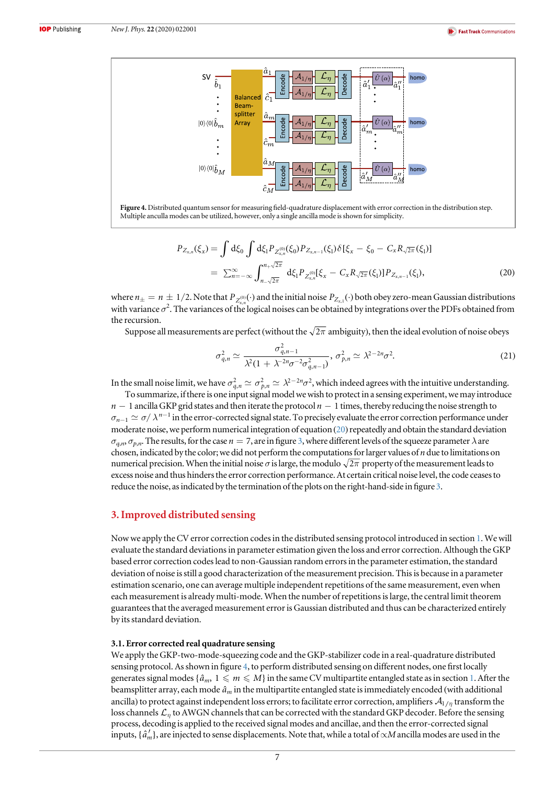<span id="page-7-0"></span>

$$
P_{Z_{x,n}}(\xi_x) = \int d\xi_0 \int d\xi_1 P_{Z_{x,n}^{(0)}}(\xi_0) P_{Z_{x,n-1}}(\xi_1) \delta[\xi_x - \xi_0 - C_x R_{\sqrt{2\pi}}(\xi_1)]
$$
  
= 
$$
\sum_{n=-\infty}^{\infty} \int_{n-\sqrt{2\pi}}^{n+\sqrt{2\pi}} d\xi_1 P_{Z_{x,n}^{(0)}}[\xi_x - C_x R_{\sqrt{2\pi}}(\xi_1)] P_{Z_{x,n-1}}(\xi_1),
$$
 (20)

where  $n_{\pm} = n \pm 1/2$ . Note that  $P_{Z_{x,n}^{(0)}}(\cdot)$  and the initial noise  $P_{Z_{x,1}}(\cdot)$  both obey zero-mean Gaussian distributions with variance  $\sigma^2$ . The variances of the logical noises can be obtained by integrations over the PDFs obtained from the recursion.

Suppose all measurements are perfect (without the  $\sqrt{2\pi}$  ambiguity), then the ideal evolution of noise obeys

$$
\sigma_{q,n}^2 \simeq \frac{\sigma_{q,n-1}^2}{\lambda^2 (1 + \lambda^{-2n} \sigma^{-2} \sigma_{q,n-1}^2)}, \sigma_{p,n}^2 \simeq \lambda^{2-2n} \sigma^2.
$$
 (21)

In the small noise limit, we have  $\sigma_{q,n}^2\simeq\sigma_{p,n}^2\simeq\lambda^{2-2n}\sigma^2$ , which indeed agrees with the intuitive understanding.

To summarize, if there is one input signal model we wish to protect in a sensing experiment, we may introduce  $n - 1$  ancilla GKP grid states and then iterate the protocol  $n - 1$  times, thereby reducing the noise strength to  $\sigma_{n-1} \simeq \sigma/\lambda^{n-1}$  in the error-corrected signal state. To precisely evaluate the error correction performance under moderate noise, we perform numerical integration of equation ([20](#page-6-0)) repeatedly and obtain the standard deviation  $\sigma_{a,n}$ ,  $\sigma_{b,n}$ . The results, for the case  $n = 7$ , are in figure [3](#page-5-0), where different levels of the squeeze parameter  $\lambda$  are chosen, indicated by the color; we did not perform the computations for larger values of  $n$  due to limitations on numerical precision. When the initial noise  $\sigma$  is large, the modulo  $\sqrt{2\pi}$  property of the measurement leads to excess noise and thus hinders the error correction performance. At certain critical noise level, the code ceases to reduce the noise, as indicated by the termination of the plots on the right-hand-side in figure [3.](#page-5-0)

## 3. Improved distributed sensing

Now we apply the CV error correction codes in the distributed sensing protocol introduced in section [1.](#page-2-0) We will evaluate the standard deviations in parameter estimation given the loss and error correction. Although the GKP based error correction codes lead to non-Gaussian random errors in the parameter estimation, the standard deviation of noise is still a good characterization of the measurement precision. This is because in a parameter estimation scenario, one can average multiple independent repetitions of the same measurement, even when each measurement is already multi-mode. When the number of repetitions is large, the central limit theorem guarantees that the averaged measurement error is Gaussian distributed and thus can be characterized entirely by its standard deviation.

#### 3.1. Error corrected real quadrature sensing

We apply the GKP-two-mode-squeezing code and the GKP-stabilizer code in a real-quadrature distributed sensing protocol. As shown in figure 4, to perform distributed sensing on different nodes, one first locally generates signal modes { $\hat{a}_m$ ,  $1 \leq m \leq M$ } in the same CV multipartite entangled state as in section [1.](#page-2-0) After the beamsplitter array, each mode *a*ˆ*<sup>m</sup>* in the multipartite entangled state is immediately encoded (with additional ancilla) to protect against independent loss errors; to facilitate error correction, amplifiers  $A_{1/n}$  transform the loss channels  $\mathcal{L}_n$  to AWGN channels that can be corrected with the standard GKP decoder. Before the sensing process, decoding is applied to the received signal modes and ancillae, and then the error-corrected signal inputs,  $\{\hat{a}'_m\}$ , are injected to sense displacements. Note that, while a total of ∝M ancilla modes are used in the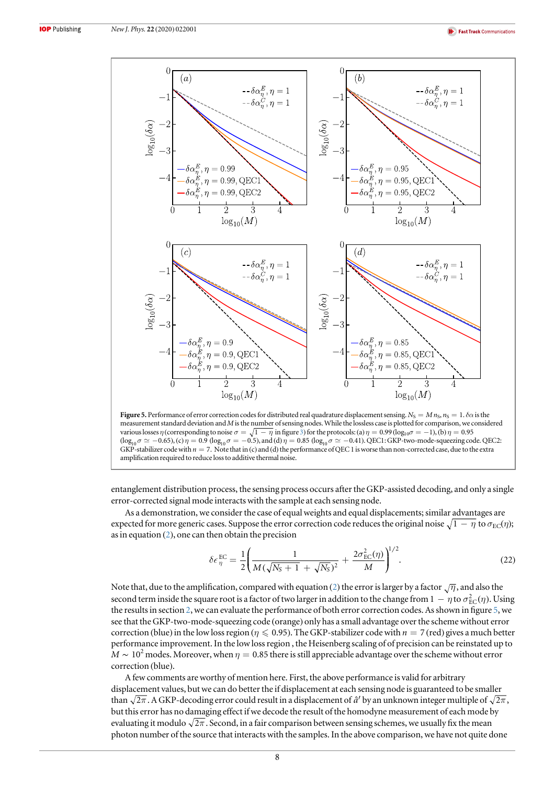<span id="page-8-0"></span>

Figure 5. Performance of error correction codes for distributed real quadrature displacement sensing.  $N_S = M n_S$ ,  $n_S = 1$ .  $\delta \alpha$  is the measurement standard deviation and M is the number of sensing nodes. While the lossless case is plotted for comparison, we considered various losses  $\eta$  (corresponding to noise  $\sigma = \sqrt{1 - \eta}$  in figure [3](#page-5-0)) for the protocols: (a)  $\eta = 0.99$  (log<sub>10</sub> $\sigma = -1$ ), (b)  $\eta = 0.95$  $(\log_{10} \sigma \simeq -0.65)$ , (c)  $\eta = 0.9$   $(\log_{10} \sigma = -0.5)$ , and (d)  $\eta = 0.85$  ( $\log_{10} \sigma \simeq -0.41$ ). QEC1: GKP-two-mode-squeezing code. QEC2: GKP-stabilizer code with  $n = 7$ . Note that in (c) and (d) the performance of QEC 1 is worse than non-corrected case, due to the extra amplification required to reduce loss to additive thermal noise.

entanglement distribution process, the sensing process occurs after the GKP-assisted decoding, and only a single error-corrected signal mode interacts with the sample at each sensing node.

As a demonstration, we consider the case of equal weights and equal displacements; similar advantages are expected for more generic cases. Suppose the error correction code reduces the original noise  $\sqrt{1 - \eta}$  to  $\sigma_{EC}(\eta)$ ; as in equation ([2](#page-3-0)), one can then obtain the precision

$$
\delta \epsilon_{\eta}^{\text{EC}} = \frac{1}{2} \left( \frac{1}{M(\sqrt{N_S+1} + \sqrt{N_S})^2} + \frac{2\sigma_{\text{EC}}^2(\eta)}{M} \right)^{1/2}.
$$
 (22)

Note that, due to the amplification, compared with equation ([2](#page-3-0)) the error is larger by a factor  $\sqrt{\eta}$ , and also the second term inside the square root is a factor of two larger in addition to the change from  $1 - \eta$  to  $\sigma_{\text{EC}}^2(\eta)$ . Using the results in section [2](#page-3-0), we can evaluate the performance of both error correction codes. As shown in figure 5, we see that the GKP-two-mode-squeezing code (orange) only has a small advantage over the scheme without error correction (blue) in the low loss region ( $\eta \leq 0.95$ ). The GKP-stabilizer code with  $n = 7$  (red) gives a much better performance improvement. In the low loss region , the Heisenberg scaling of of precision can be reinstated up to  $M \sim 10^2$  modes. Moreover, when  $\eta = 0.85$  there is still appreciable advantage over the scheme without error correction (blue).

A few comments are worthy of mention here. First, the above performance is valid for arbitrary displacement values, but we can do better the if displacement at each sensing node is guaranteed to be smaller than  $\sqrt{2\pi}$ . A GKP-decoding error could result in a displacement of  $\hat{a}^{\prime}$  by an unknown integer multiple of  $\sqrt{2\pi}$ , but this error has no damaging effect if we decode the result of the homodyne measurement of each mode by evaluating it modulo  $\sqrt{2\pi}$ . Second, in a fair comparison between sensing schemes, we usually fix the mean photon number of the source that interacts with the samples. In the above comparison, we have not quite done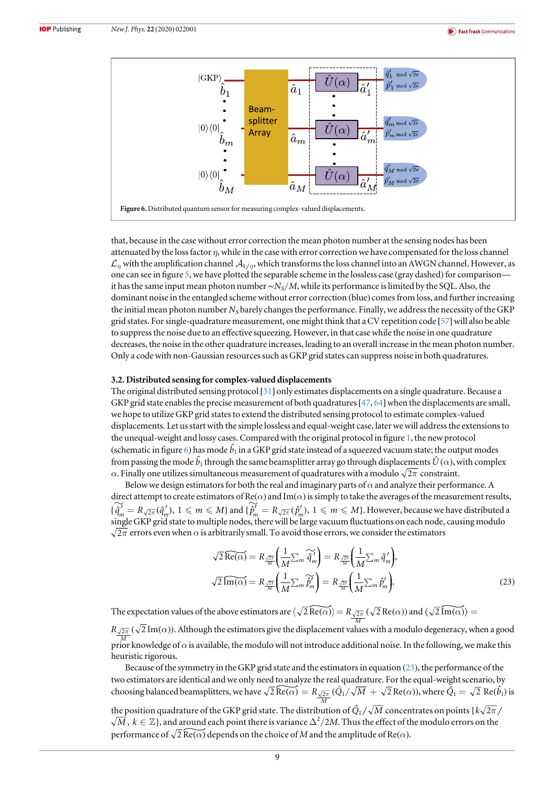<span id="page-9-0"></span>

that, because in the case without error correction the mean photon number at the sensing nodes has been attenuated by the loss factor  $\eta$ , while in the case with error correction we have compensated for the loss channel  $\mathcal{L}_n$  with the amplification channel  $\mathcal{A}_{1/n}$ , which transforms the loss channel into an AWGN channel. However, as one can see in figure [5](#page-8-0), we have plotted the separable scheme in the lossless case (gray dashed) for comparison it has the same input mean photon number∼ $N_S/M$ , while its performance is limited by the SQL. Also, the dominant noise in the entangled scheme without error correction (blue) comes from loss, and further increasing the initial mean photon number  $N_S$  barely changes the performance. Finally, we address the necessity of the GKP grid states. For single-quadrature measurement, one might think that a CV repetition code [[57](#page-12-0)]will also be able to suppress the noise due to an effective squeezing. However, in that case while the noise in one quadrature decreases, the noise in the other quadrature increases, leading to an overall increase in the mean photon number. Only a code with non-Gaussian resources such as GKP grid states can suppress noise in both quadratures.

#### 3.2. Distributed sensing for complex-valued displacements

The original distributed sensing protocol [[31](#page-12-0)] only estimates displacements on a single quadrature. Because a GKP grid state enables the precise measurement of both quadratures [[47](#page-12-0), [64](#page-12-0)] when the displacements are small, we hope to utilize GKP grid states to extend the distributed sensing protocol to estimate complex-valued displacements. Let us start with the simple lossless and equal-weight case, later we will address the extensions to the unequal-weight and lossy cases. Compared with the original protocol in figure [1,](#page-2-0) the new protocol (schematic in figure 6) has mode  $\hat{b}_1$  in a GKP grid state instead of a squeezed vacuum state; the output modes from passing the mode  $\hat{b}_1$  through the same beamsplitter array go through displacements  $\hat{U}(\alpha)$ , with complex  $\alpha$ . Finally one utilizes simultaneous measurement of quadratures with a modulo  $\sqrt{2\pi}$  constraint.

Below we design estimators for both the real and imaginary parts of  $\alpha$  and analyze their performance. A direct attempt to create estimators of  $Re(\alpha)$  and Im( $\alpha$ ) is simply to take the averages of the measurement results, direct attempt to create estimators of  $\text{Re}(\alpha)$  and  $\text{Im}(\alpha)$  is simply to take the averages of the measurement results  $\{\hat{q}_m^{\prime\prime} = R_{\sqrt{2\pi}}(\hat{q}_m^{\prime\prime}), 1 \leq m \leq M\}$  and  $\{\hat{p}_m^{\prime\prime} = R_{\sqrt{2\pi}}(\hat{p}_m^{\prime\prime}), 1 \leq m \le$ single GKP grid state to multiple nodes, there will be large vacuum fluctuations on each node, causing modulo  $2\pi$  errors even when  $\alpha$  is arbitrarily small. To avoid those errors, we consider the estimators<br> $\sqrt{2} \widehat{\text{Re}(\alpha)} = R \sqrt{2\pi} \left( \frac{1}{2} \sum_{\alpha} \widehat{\alpha}^{\prime} \right) = R \sqrt{2\pi} \left( \frac{1}{2} \sum_{\alpha} \widehat{\alpha}^{\prime} \right).$ 

$$
\sqrt{2} \widehat{\text{Re}(\alpha)} = R_{\frac{\sqrt{2\pi}}{M}} \left( \frac{1}{M} \sum_{m} \widehat{q}_{m}^{\prime} \right) = R_{\frac{\sqrt{2\pi}}{M}} \left( \frac{1}{M} \sum_{m} \widehat{q}_{m}^{\prime} \right),
$$
  

$$
\sqrt{2} \widehat{\text{Im}(\alpha)} = R_{\frac{\sqrt{2\pi}}{M}} \left( \frac{1}{M} \sum_{m} \widehat{p}_{m}^{\prime} \right) = R_{\frac{\sqrt{2\pi}}{M}} \left( \frac{1}{M} \sum_{m} \widehat{p}_{m}^{\prime} \right).
$$
 (23)

 $\sqrt{2 \ln(\alpha)} = \frac{1}{M} \left( \frac{1}{M} \sum_m P_m \right) = \frac{1}{M} \left( \frac{1}{M} \sum_m P_m \right)$ .<br>The expectation values of the above estimators are  $\left( \sqrt{2} \widehat{Re(\alpha)} \right) = R_{\sqrt{2\pi}} \left( \sqrt{2} Re(\alpha) \right)$ .  $\frac{1}{M} \sum_m P_m$  *f*<br>  $\frac{1}{2\pi} (\sqrt{2} \text{Re}(\alpha))$  and  $\langle \sqrt{2} \text{Im}(\alpha) \rangle =$ 

 $R_{\sqrt{2\pi}}$  ( $\sqrt{2}\,\text{Im}(\alpha)$ ). Although the estimators give the displacement values with a modulo degeneracy, when a good  $\frac{M}{P}$  prior knowledge of  $\alpha$  is available, the modulo will not introduce additional noise. In the following, we make this heuristic rigorous.

Because of the symmetry in the GKP grid state and the estimators in equation (23), the performance of the two estimators are identical and we only need to analyze the real quadrature. For the equal-weight scenario, by Because of the symmetry in the GKP grid state and the estimators in equation (2) two estimators are identical and we only need to analyze the real quadrature. For the choosing balanced beamsplitters, we have  $\sqrt{2} \text{Re}(\alpha$  $\widetilde{A(\alpha)} = R_{\frac{\sqrt{2\pi}}{M}} (\hat{Q}_1 / \sqrt{M} + \sqrt{2} \text{Re}(\alpha))$ , where  $\tilde{Q}_1 = \sqrt{2} \text{Re}(\hat{b}_1)$  is

the position quadrature of the GKP grid state. The distribution of  $\hat{Q}_1 / \sqrt{M}$  concentrates on points { $k\sqrt{2\pi}$ <br> $\sqrt{M}$ ,  $k \in \mathbb{Z}$ }, and around each point there is variance  $\Delta^2/2M$ . Thus the effect of the modulo  $\overline{M}$  ,  $k\in \mathbb{Z}\},$  and around each point there is variance  $\Delta^2/2M$ . Thus the effect of the modulo errors on the performance of  $\sqrt{2} \text{Re}(\alpha)$  depends on the choice of M and the amplitude of Re( $\alpha$ ).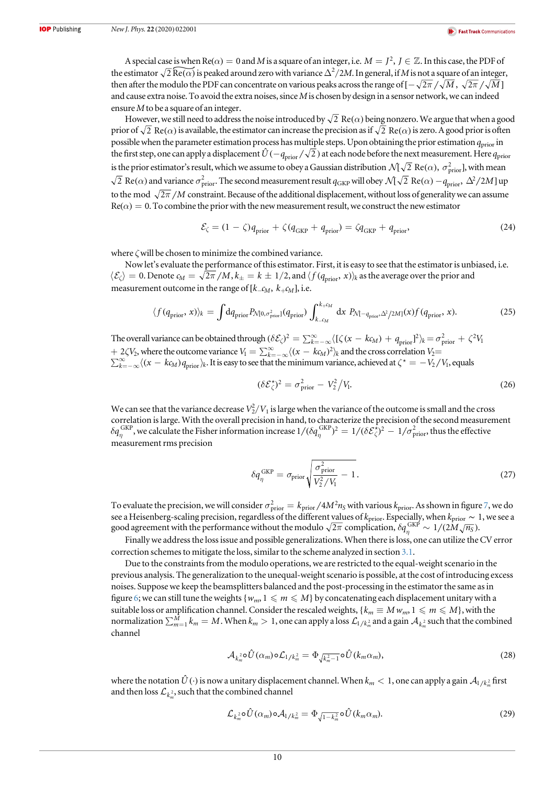A special case is when  $\text{Re}(\alpha) = 0$  and M is a square of an integer, i.e.  $M = J^2$ ,  $J \in \mathbb{Z}$ . In this case, the PDF of A special case is when Re( $\alpha$ ) = 0 and M is a square of an integer, i.e.  $M = J^2$ ,  $J \in \mathbb{Z}$ . In this case, the PDF of the estimator  $\sqrt{2}$  Re( $\alpha$ ) is peaked around zero with variance  $\Delta^2/2M$ . In general, if M is no then after the modulo the PDF can concentrate on various peaks across the range of  $[-\sqrt{2\pi}/\sqrt{M}, \sqrt{2\pi}/\sqrt{M}]$ and cause extra noise. To avoid the extra noises, since  $M$  is chosen by design in a sensor network, we can indeed ensure M to be a square of an integer.

However, we still need to address the noise introduced by  $\sqrt{2}$  Re( $\alpha$ ) being nonzero. We argue that when a good prior of  $\sqrt{2}$  Re( $\alpha$ ) is available, the estimator can increase the precision as if  $\sqrt{2}$  Re( $\alpha$ ) is zero. A good prior is often possible when the parameter estimation process has multiple steps. Upon obtaining the prior estimation  $q_{\text{prior}}$  in the first step, one can apply a displacement  $\hat{U}(-q_{prior}/\sqrt{2})$  at each node before the next measurement. Here  $q_{prior}$ is the prior estimator's result, which we assume to obey a Gaussian distribution  $\mathcal{N}[\sqrt{2} \; \text{Re}(\alpha),\ \sigma^2_{\text{prior}}]$ , with mean  $\overline{2}$  Re( $\alpha$ ) and variance  $\sigma^2_{\rm prior}$ . The second measurement result  $q_{\rm GKP}$  will obey  $\mathcal{N}[\sqrt{2}$  Re( $\alpha$ )  $-q_{\rm prior}$ ,  $\Delta^2/2M$ ] up to the mod  $\sqrt{2\pi}/M$  constraint. Because of the additional displacement, without loss of generality we can assume  $Re(\alpha) = 0$ . To combine the prior with the new measurement result, we construct the new estimator

$$
\mathcal{E}_{\zeta} = (1 - \zeta)q_{\text{prior}} + \zeta(q_{\text{GKP}} + q_{\text{prior}}) = \zeta q_{\text{GKP}} + q_{\text{prior}},\tag{24}
$$

where ζwill be chosen to minimize the combined variance.

Now let's evaluate the performance of this estimator. First, it is easy to see that the estimator is unbiased, i.e.  $\langle \mathcal{E}_\zeta \rangle = 0$ . Denote  $c_M = \sqrt{2\pi / M}$ ,  $k_{\pm} = k \pm 1/2$ , and  $\langle f(q_{\text{prior}}, x) \rangle_k$  as the average over the prior and measurement outcome in the range of  $[k_{\text{max}}, k_{\text{max}}]$ , i.e.

$$
\langle f(q_{\text{prior}}, x) \rangle_k = \int dq_{\text{prior}} P_{\mathcal{N}[0, \sigma_{\text{prior}}^2]}(q_{\text{prior}}) \int_{k_{\text{c}}/M}^{k_{\text{c}}/M} dx \ P_{\mathcal{N}[-q_{\text{prior}}, \Delta^2/2M]}(x) f(q_{\text{prior}}, x). \tag{25}
$$

The overall variance can be obtained through  $(\delta \mathcal{E}_{\zeta})^2 = \sum_{k=-\infty}^{\infty} \langle [ \zeta (x - k \zeta_M) + q_{\text{prior}} ]^2 \rangle_k = \sigma_{\text{prior}}^2 + \zeta^2 V_1$  $+ 2\zeta V_2$ , where the outcome variance  $V_1 = \sum_{k=-\infty}^{\infty} \langle (x - k c_M)^2 \rangle_k$  and the cross correlation  $V_2$  $\sum_{k=-\infty}^{\infty} \langle (x-k\epsilon_M) q_{\rm prior} \rangle_k$ . It is easy to see that the minimum variance, achieved at  $\zeta^* = -V_2/V_1$ , equals

$$
(\delta \mathcal{E}_{\zeta}^{\star})^2 = \sigma_{\text{prior}}^2 - V_2^2 / V_1. \tag{26}
$$

We can see that the variance decrease  $V_2^2/V_1$  is large when the variance of the outcome is small and the cross correlation is large. With the overall precision in hand, to characterize the precision of the second measurement  $\delta q_\eta^{\rm GKP}$ , we calculate the Fisher information increase  $1/(\delta q_\eta^{\rm GKP})^2=1/(\delta {\cal E}_\zeta^{\star} )^2-1/\sigma_{\rm prior}^2$ , thus the effective measurement rms precision

$$
\delta q_{\eta}^{\text{GKP}} = \sigma_{\text{prior}} \sqrt{\frac{\sigma_{\text{prior}}^2}{V_2^2 / V_1} - 1}.
$$
\n(27)

To evaluate the precision, we will consider  $\sigma_{\text{prior}}^2 = k_{\text{prior}}/4M^2n_S$  with various  $k_{\text{prior}}$ . As shown in figure [7,](#page-11-0) we do see a Heisenberg-scaling precision, regardless of the different values of  $k_{\rm prior}$ . Especially, when  $k_{\rm prior} \sim 1$ , we see a good agreement with the performance without the modulo  $\sqrt{2\pi}$  complication,  $\delta q_\eta^{\rm GKP}\sim 1/(2M\sqrt{n_S})$ .

Finally we address the loss issue and possible generalizations. When there is loss, one can utilize the CV error correction schemes to mitigate the loss, similar to the scheme analyzed in section [3.1.](#page-7-0)

Due to the constraints from the modulo operations, we are restricted to the equal-weight scenario in the previous analysis. The generalization to the unequal-weight scenario is possible, at the cost of introducing excess noises. Suppose we keep the beamsplitters balanced and the post-processing in the estimator the same as in figure [6](#page-9-0); we can still tune the weights { $w_m$ ,  $1 \leq m \leq M$ } by concatenating each displacement unitary with a suitable loss or amplification channel. Consider the rescaled weights, { $k_m \equiv M w_m$ ,  $1 \leq m \leq M$ }, with the normalization  $\sum_{m=1}^M k_m=M.$  When  $k_m>1,$  one can apply a loss  $\mathcal L_{1/k_m^2}$  and a gain  $\mathcal A_{k_m^2}$  such that the combined channel

$$
\mathcal{A}_{k_m^2} \circ \hat{U}(\alpha_m) \circ \mathcal{L}_{1/k_m^2} = \Phi_{\sqrt{k_m^2 - 1}} \circ \hat{U}(k_m \alpha_m), \tag{28}
$$

where the notation  $\hat{U}(\cdot)$  is now a unitary displacement channel. When  $k_m< 1,$  one can apply a gain  ${\cal A}_{1/k_m^2}$  first and then loss  $\mathcal{L}_{k_m^2}$ , such that the combined channel

$$
\mathcal{L}_{k_m^2} \circ \hat{U}(\alpha_m) \circ \mathcal{A}_{1/k_m^2} = \Phi_{\sqrt{1-k_m^2}} \circ \hat{U}(k_m \alpha_m). \tag{29}
$$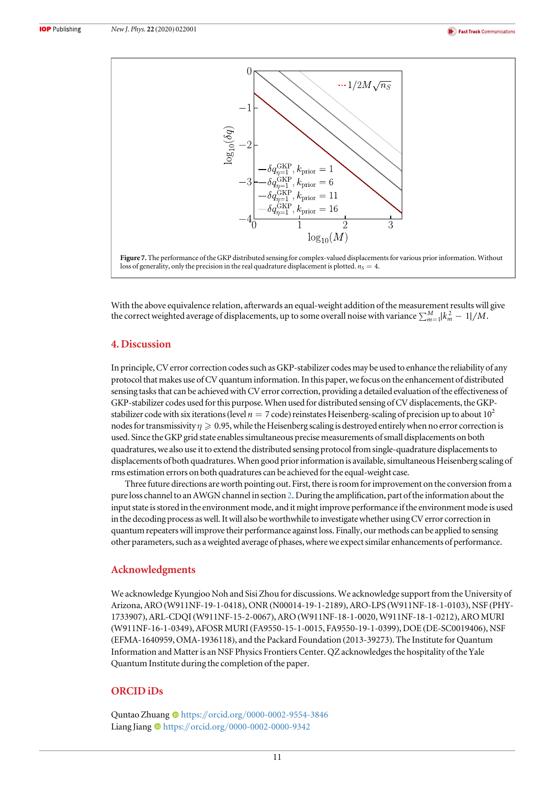<span id="page-11-0"></span>

With the above equivalence relation, afterwards an equal-weight addition of the measurement results will give the correct weighted average of displacements, up to some overall noise with variance  $\sum_{m=1}^M\!|k_m^{\,2}-1|/M.$ 

## 4. Discussion

In principle, CV error correction codes such as GKP-stabilizer codes may be used to enhance the reliability of any protocol that makes use of CV quantum information. In this paper, wefocus on the enhancement of distributed sensing tasks that can be achieved with CV error correction, providing a detailed evaluation of the effectiveness of GKP-stabilizer codes used for this purpose. When used for distributed sensing of CV displacements, the GKPstabilizer code with six iterations (level  $n = 7$  code) reinstates Heisenberg-scaling of precision up to about 10<sup>2</sup> nodes for transmissivity  $\eta \geq 0.95$ , while the Heisenberg scaling is destroyed entirely when no error correction is used. Since the GKP grid state enables simultaneous precise measurements of small displacements on both quadratures, we also use it to extend the distributed sensing protocol from single-quadrature displacements to displacements of both quadratures.When good prior information is available, simultaneous Heisenberg scaling of rms estimation errors on both quadratures can be achieved for the equal-weight case.

Three future directions are worth pointing out. First, there is roomfor improvement on the conversion from a pure loss channel to an AWGN channel in section [2](#page-3-0). During the amplification, part of the information about the input state is stored in the environment mode, and it might improve performance if the environment mode is used in the decoding process as well. It will also be worthwhile to investigate whether using CV error correction in quantum repeaters will improve their performance against loss. Finally, our methods can be applied to sensing other parameters, such as a weighted average of phases, where we expect similar enhancements of performance.

## Acknowledgments

We acknowledge Kyungjoo Noh and Sisi Zhou for discussions. We acknowledge support from the University of Arizona, ARO (W911NF-19-1-0418), ONR (N00014-19-1-2189), ARO-LPS (W911NF-18-1-0103), NSF (PHY-1733907), ARL-CDQI (W911NF-15-2-0067), ARO (W911NF-18-1-0020, W911NF-18-1-0212), ARO MURI (W911NF-16-1-0349), AFOSR MURI(FA9550-15-1-0015, FA9550-19-1-0399), DOE (DE-SC0019406), NSF (EFMA-1640959, OMA-1936118), and the Packard Foundation (2013-39273). The Institute for Quantum Information and Matter is an NSF Physics Frontiers Center. QZ acknowledges the hospitality of the Yale Quantum Institute during the completion of the paper.

# ORCID iDs

Quntao Zhuang @ [https:](https://orcid.org/0000-0002-9554-3846)//orcid.org/[0000-0002-9554-3846](https://orcid.org/0000-0002-9554-3846) Liang Jiang the [https:](https://orcid.org/0000-0002-0000-9342)//orcid.org/[0000-0002-0000-9342](https://orcid.org/0000-0002-0000-9342)